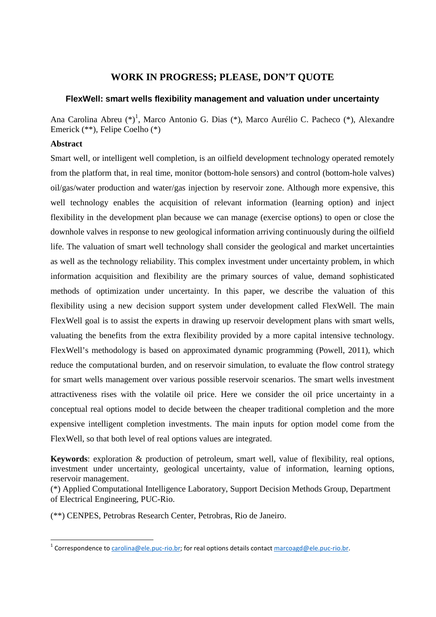# **WORK IN PROGRESS; PLEASE, DON'T QUOTE**

# **FlexWell: smart wells flexibility management and valuation under uncertainty**

Ana Carolina Abreu (\*)<sup>1</sup>, Marco Antonio G. Dias (\*), Marco Aurélio C. Pacheco (\*), Alexandre Emerick (\*\*), Felipe Coelho (\*)

### **Abstract**

 $\overline{a}$ 

Smart well, or intelligent well completion, is an oilfield development technology operated remotely from the platform that, in real time, monitor (bottom-hole sensors) and control (bottom-hole valves) oil/gas/water production and water/gas injection by reservoir zone. Although more expensive, this well technology enables the acquisition of relevant information (learning option) and inject flexibility in the development plan because we can manage (exercise options) to open or close the downhole valves in response to new geological information arriving continuously during the oilfield life. The valuation of smart well technology shall consider the geological and market uncertainties as well as the technology reliability. This complex investment under uncertainty problem, in which information acquisition and flexibility are the primary sources of value, demand sophisticated methods of optimization under uncertainty. In this paper, we describe the valuation of this flexibility using a new decision support system under development called FlexWell. The main FlexWell goal is to assist the experts in drawing up reservoir development plans with smart wells, valuating the benefits from the extra flexibility provided by a more capital intensive technology. FlexWell's methodology is based on approximated dynamic programming (Powell, 2011), which reduce the computational burden, and on reservoir simulation, to evaluate the flow control strategy for smart wells management over various possible reservoir scenarios. The smart wells investment attractiveness rises with the volatile oil price. Here we consider the oil price uncertainty in a conceptual real options model to decide between the cheaper traditional completion and the more expensive intelligent completion investments. The main inputs for option model come from the FlexWell, so that both level of real options values are integrated.

**Keywords**: exploration & production of petroleum, smart well, value of flexibility, real options, investment under uncertainty, geological uncertainty, value of information, learning options, reservoir management.

(\*) Applied Computational Intelligence Laboratory, Support Decision Methods Group, Department of Electrical Engineering, PUC-Rio.

(\*\*) CENPES, Petrobras Research Center, Petrobras, Rio de Janeiro.

<sup>&</sup>lt;sup>1</sup> Correspondence to carolina@ele.puc-rio.br; for real options details contact marcoagd@ele.puc-rio.br.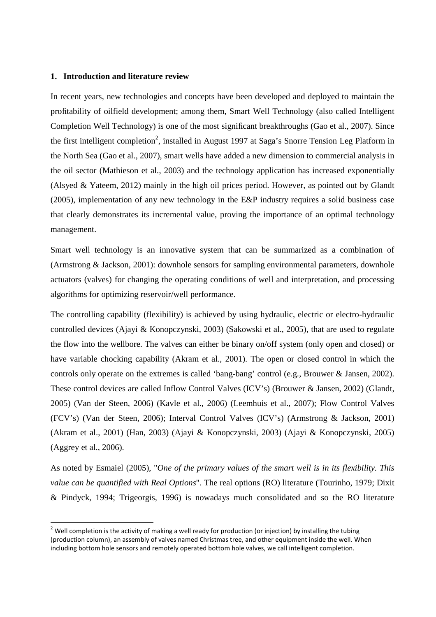#### **1. Introduction and literature review**

 $\overline{a}$ 

In recent years, new technologies and concepts have been developed and deployed to maintain the profitability of oilfield development; among them, Smart Well Technology (also called Intelligent Completion Well Technology) is one of the most significant breakthroughs (Gao et al., 2007). Since the first intelligent completion<sup>2</sup>, installed in August 1997 at Saga's Snorre Tension Leg Platform in the North Sea (Gao et al., 2007), smart wells have added a new dimension to commercial analysis in the oil sector (Mathieson et al., 2003) and the technology application has increased exponentially (Alsyed & Yateem, 2012) mainly in the high oil prices period. However, as pointed out by Glandt (2005), implementation of any new technology in the E&P industry requires a solid business case that clearly demonstrates its incremental value, proving the importance of an optimal technology management.

Smart well technology is an innovative system that can be summarized as a combination of (Armstrong & Jackson, 2001): downhole sensors for sampling environmental parameters, downhole actuators (valves) for changing the operating conditions of well and interpretation, and processing algorithms for optimizing reservoir/well performance.

The controlling capability (flexibility) is achieved by using hydraulic, electric or electro-hydraulic controlled devices (Ajayi & Konopczynski, 2003) (Sakowski et al., 2005), that are used to regulate the flow into the wellbore. The valves can either be binary on/off system (only open and closed) or have variable chocking capability (Akram et al., 2001). The open or closed control in which the controls only operate on the extremes is called 'bang-bang' control (e.g., Brouwer & Jansen, 2002). These control devices are called Inflow Control Valves (ICV's) (Brouwer & Jansen, 2002) (Glandt, 2005) (Van der Steen, 2006) (Kavle et al., 2006) (Leemhuis et al., 2007); Flow Control Valves (FCV's) (Van der Steen, 2006); Interval Control Valves (ICV's) (Armstrong & Jackson, 2001) (Akram et al., 2001) (Han, 2003) (Ajayi & Konopczynski, 2003) (Ajayi & Konopczynski, 2005) (Aggrey et al., 2006).

As noted by Esmaiel (2005), "*One of the primary values of the smart well is in its flexibility. This value can be quantified with Real Options*". The real options (RO) literature (Tourinho, 1979; Dixit & Pindyck, 1994; Trigeorgis, 1996) is nowadays much consolidated and so the RO literature

<sup>&</sup>lt;sup>2</sup> Well completion is the activity of making a well ready for production (or injection) by installing the tubing (production column), an assembly of valves named Christmas tree, and other equipment inside the well. When including bottom hole sensors and remotely operated bottom hole valves, we call intelligent completion.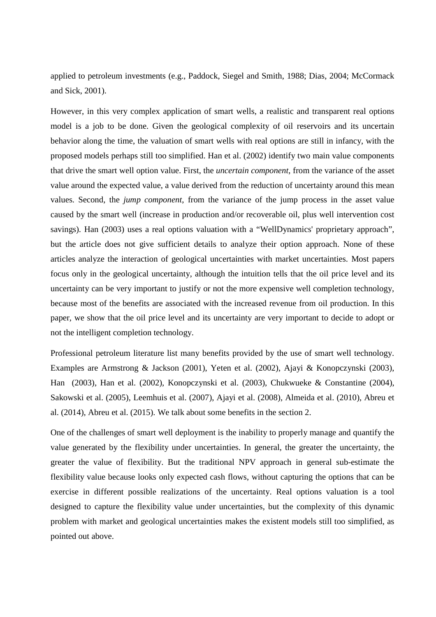applied to petroleum investments (e.g., Paddock, Siegel and Smith, 1988; Dias, 2004; McCormack and Sick, 2001).

However, in this very complex application of smart wells, a realistic and transparent real options model is a job to be done. Given the geological complexity of oil reservoirs and its uncertain behavior along the time, the valuation of smart wells with real options are still in infancy, with the proposed models perhaps still too simplified. Han et al. (2002) identify two main value components that drive the smart well option value. First, the *uncertain component*, from the variance of the asset value around the expected value, a value derived from the reduction of uncertainty around this mean values. Second, the *jump component*, from the variance of the jump process in the asset value caused by the smart well (increase in production and/or recoverable oil, plus well intervention cost savings). Han (2003) uses a real options valuation with a "WellDynamics' proprietary approach", but the article does not give sufficient details to analyze their option approach. None of these articles analyze the interaction of geological uncertainties with market uncertainties. Most papers focus only in the geological uncertainty, although the intuition tells that the oil price level and its uncertainty can be very important to justify or not the more expensive well completion technology, because most of the benefits are associated with the increased revenue from oil production. In this paper, we show that the oil price level and its uncertainty are very important to decide to adopt or not the intelligent completion technology.

Professional petroleum literature list many benefits provided by the use of smart well technology. Examples are Armstrong & Jackson (2001), Yeten et al. (2002), Ajayi & Konopczynski (2003), Han (2003), Han et al. (2002), Konopczynski et al. (2003), Chukwueke & Constantine (2004), Sakowski et al. (2005), Leemhuis et al. (2007), Ajayi et al. (2008), Almeida et al. (2010), Abreu et al. (2014), Abreu et al. (2015). We talk about some benefits in the section 2.

One of the challenges of smart well deployment is the inability to properly manage and quantify the value generated by the flexibility under uncertainties. In general, the greater the uncertainty, the greater the value of flexibility. But the traditional NPV approach in general sub-estimate the flexibility value because looks only expected cash flows, without capturing the options that can be exercise in different possible realizations of the uncertainty. Real options valuation is a tool designed to capture the flexibility value under uncertainties, but the complexity of this dynamic problem with market and geological uncertainties makes the existent models still too simplified, as pointed out above.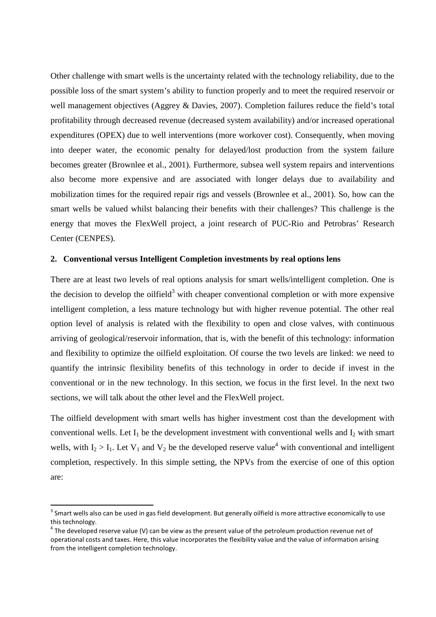Other challenge with smart wells is the uncertainty related with the technology reliability, due to the possible loss of the smart system's ability to function properly and to meet the required reservoir or well management objectives (Aggrey & Davies, 2007). Completion failures reduce the field's total profitability through decreased revenue (decreased system availability) and/or increased operational expenditures (OPEX) due to well interventions (more workover cost). Consequently, when moving into deeper water, the economic penalty for delayed/lost production from the system failure becomes greater (Brownlee et al., 2001). Furthermore, subsea well system repairs and interventions also become more expensive and are associated with longer delays due to availability and mobilization times for the required repair rigs and vessels (Brownlee et al., 2001). So, how can the smart wells be valued whilst balancing their benefits with their challenges? This challenge is the energy that moves the FlexWell project, a joint research of PUC-Rio and Petrobras' Research Center (CENPES).

### **2. Conventional versus Intelligent Completion investments by real options lens**

There are at least two levels of real options analysis for smart wells/intelligent completion. One is the decision to develop the oilfield<sup>3</sup> with cheaper conventional completion or with more expensive intelligent completion, a less mature technology but with higher revenue potential. The other real option level of analysis is related with the flexibility to open and close valves, with continuous arriving of geological/reservoir information, that is, with the benefit of this technology: information and flexibility to optimize the oilfield exploitation. Of course the two levels are linked: we need to quantify the intrinsic flexibility benefits of this technology in order to decide if invest in the conventional or in the new technology. In this section, we focus in the first level. In the next two sections, we will talk about the other level and the FlexWell project.

The oilfield development with smart wells has higher investment cost than the development with conventional wells. Let  $I_1$  be the development investment with conventional wells and  $I_2$  with smart wells, with  $I_2 > I_1$ . Let  $V_1$  and  $V_2$  be the developed reserve value<sup>4</sup> with conventional and intelligent completion, respectively. In this simple setting, the NPVs from the exercise of one of this option are:

 $\overline{\phantom{0}}$ 

 $^3$  Smart wells also can be used in gas field development. But generally oilfield is more attractive economically to use this technology.

 $<sup>4</sup>$  The developed reserve value (V) can be view as the present value of the petroleum production revenue net of</sup> operational costs and taxes. Here, this value incorporates the flexibility value and the value of information arising from the intelligent completion technology.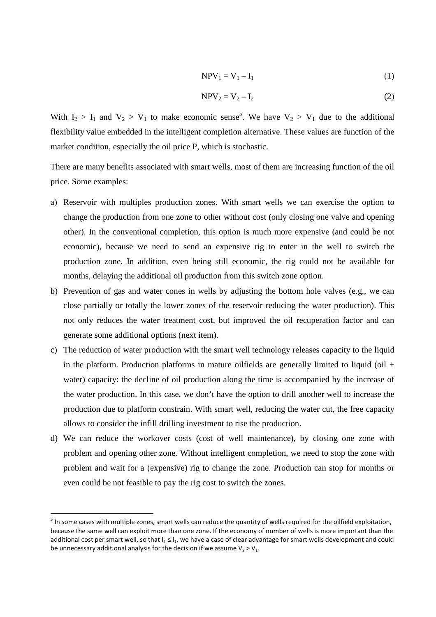$$
NPV_1 = V_1 - I_1 \tag{1}
$$

$$
NPV_2 = V_2 - I_2 \tag{2}
$$

With  $I_2 > I_1$  and  $V_2 > V_1$  to make economic sense<sup>5</sup>. We have  $V_2 > V_1$  due to the additional flexibility value embedded in the intelligent completion alternative. These values are function of the market condition, especially the oil price P, which is stochastic.

There are many benefits associated with smart wells, most of them are increasing function of the oil price. Some examples:

- a) Reservoir with multiples production zones. With smart wells we can exercise the option to change the production from one zone to other without cost (only closing one valve and opening other). In the conventional completion, this option is much more expensive (and could be not economic), because we need to send an expensive rig to enter in the well to switch the production zone. In addition, even being still economic, the rig could not be available for months, delaying the additional oil production from this switch zone option.
- b) Prevention of gas and water cones in wells by adjusting the bottom hole valves (e.g., we can close partially or totally the lower zones of the reservoir reducing the water production). This not only reduces the water treatment cost, but improved the oil recuperation factor and can generate some additional options (next item).
- c) The reduction of water production with the smart well technology releases capacity to the liquid in the platform. Production platforms in mature oilfields are generally limited to liquid (oil  $+$ water) capacity: the decline of oil production along the time is accompanied by the increase of the water production. In this case, we don't have the option to drill another well to increase the production due to platform constrain. With smart well, reducing the water cut, the free capacity allows to consider the infill drilling investment to rise the production.
- d) We can reduce the workover costs (cost of well maintenance), by closing one zone with problem and opening other zone. Without intelligent completion, we need to stop the zone with problem and wait for a (expensive) rig to change the zone. Production can stop for months or even could be not feasible to pay the rig cost to switch the zones.

<sup>&</sup>lt;sup>5</sup> In some cases with multiple zones, smart wells can reduce the quantity of wells required for the oilfield exploitation, because the same well can exploit more than one zone. If the economy of number of wells is more important than the additional cost per smart well, so that  $I_2 \leq I_1$ , we have a case of clear advantage for smart wells development and could be unnecessary additional analysis for the decision if we assume  $V_2 > V_1$ .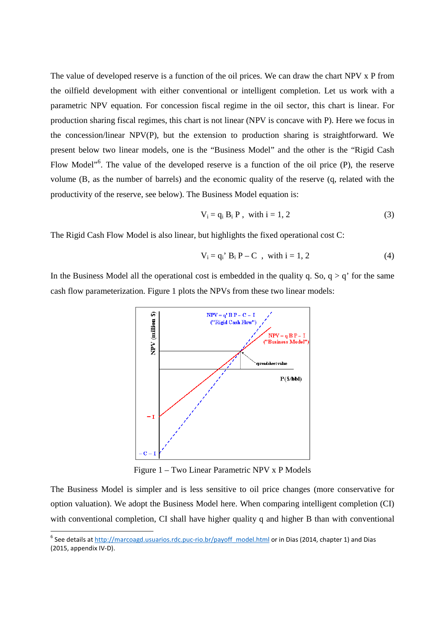The value of developed reserve is a function of the oil prices. We can draw the chart NPV x P from the oilfield development with either conventional or intelligent completion. Let us work with a parametric NPV equation. For concession fiscal regime in the oil sector, this chart is linear. For production sharing fiscal regimes, this chart is not linear (NPV is concave with P). Here we focus in the concession/linear NPV(P), but the extension to production sharing is straightforward. We present below two linear models, one is the "Business Model" and the other is the "Rigid Cash Flow Model<sup>"6</sup>. The value of the developed reserve is a function of the oil price (P), the reserve volume (B, as the number of barrels) and the economic quality of the reserve (q, related with the productivity of the reserve, see below). The Business Model equation is:

$$
V_i = q_i B_i P
$$
, with  $i = 1, 2$  (3)

The Rigid Cash Flow Model is also linear, but highlights the fixed operational cost C:

$$
V_i = q_i' B_i P - C , with i = 1, 2
$$
 (4)

In the Business Model all the operational cost is embedded in the quality q. So, q  $> q'$  for the same cash flow parameterization. Figure 1 plots the NPVs from these two linear models:



Figure 1 – Two Linear Parametric NPV x P Models

The Business Model is simpler and is less sensitive to oil price changes (more conservative for option valuation). We adopt the Business Model here. When comparing intelligent completion (CI) with conventional completion, CI shall have higher quality q and higher B than with conventional

l

<sup>&</sup>lt;sup>6</sup> See details at  $\frac{http://marcoagd.usuarios.rdc.puc-rio.br/payoff_{model.html}}{http://marcoagd.usuarios.rdc.puc-rio.br/payoff_{model.html}}$  or in Dias (2014, chapter 1) and Dias (2015, appendix IV-D).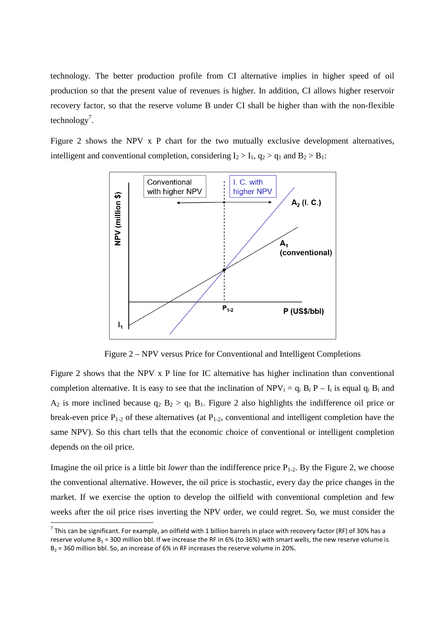technology. The better production profile from CI alternative implies in higher speed of oil production so that the present value of revenues is higher. In addition, CI allows higher reservoir recovery factor, so that the reserve volume B under CI shall be higher than with the non-flexible technology<sup>7</sup>.

Figure 2 shows the NPV x P chart for the two mutually exclusive development alternatives, intelligent and conventional completion, considering  $I_2 > I_1$ ,  $q_2 > q_1$  and  $B_2 > B_1$ :



Figure 2 – NPV versus Price for Conventional and Intelligent Completions

Figure 2 shows that the NPV x P line for IC alternative has higher inclination than conventional completion alternative. It is easy to see that the inclination of  $NPV_i = q_i B_i P - I_i$  is equal  $q_i B_i$  and  $A_2$  is more inclined because  $q_2$   $B_2 > q_1 B_1$ . Figure 2 also highlights the indifference oil price or break-even price  $P_{1-2}$  of these alternatives (at  $P_{1-2}$ , conventional and intelligent completion have the same NPV). So this chart tells that the economic choice of conventional or intelligent completion depends on the oil price.

Imagine the oil price is a little bit *lower* than the indifference price  $P_{1-2}$ . By the Figure 2, we choose the conventional alternative. However, the oil price is stochastic, every day the price changes in the market. If we exercise the option to develop the oilfield with conventional completion and few weeks after the oil price rises inverting the NPV order, we could regret. So, we must consider the

<sup>&</sup>lt;sup>7</sup> This can be significant. For example, an oilfield with 1 billion barrels in place with recovery factor (RF) of 30% has a reserve volume  $B_1 = 300$  million bbl. If we increase the RF in 6% (to 36%) with smart wells, the new reserve volume is  $B_2$  = 360 million bbl. So, an increase of 6% in RF increases the reserve volume in 20%.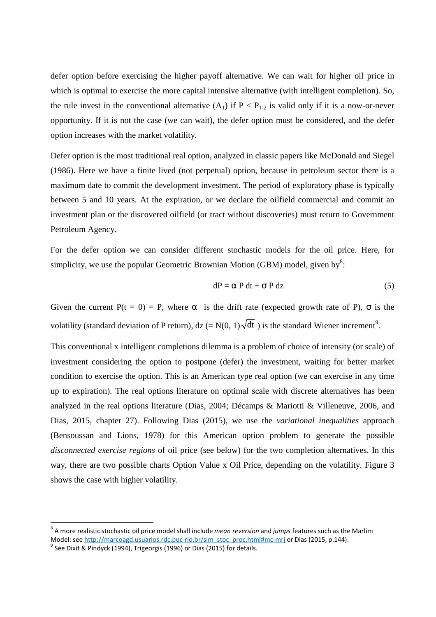defer option before exercising the higher payoff alternative. We can wait for higher oil price in which is optimal to exercise the more capital intensive alternative (with intelligent completion). So, the rule invest in the conventional alternative  $(A_1)$  if  $P < P_{1-2}$  is valid only if it is a now-or-never opportunity. If it is not the case (we can wait), the defer option must be considered, and the defer option increases with the market volatility.

Defer option is the most traditional real option, analyzed in classic papers like McDonald and Siegel (1986). Here we have a finite lived (not perpetual) option, because in petroleum sector there is a maximum date to commit the development investment. The period of exploratory phase is typically between 5 and 10 years. At the expiration, or we declare the oilfield commercial and commit an investment plan or the discovered oilfield (or tract without discoveries) must return to Government Petroleum Agency.

For the defer option we can consider different stochastic models for the oil price. Here, for simplicity, we use the popular Geometric Brownian Motion (GBM) model, given by<sup>8</sup>:

$$
dP = \alpha P dt + \sigma P dz
$$
 (5)

Given the current  $P(t = 0) = P$ , where  $\alpha$  is the drift rate (expected growth rate of P),  $\sigma$  is the volatility (standard deviation of P return), dz (=  $N(0, 1) \sqrt{dt}$ ) is the standard Wiener increment<sup>9</sup>.

This conventional x intelligent completions dilemma is a problem of choice of intensity (or scale) of investment considering the option to postpone (defer) the investment, waiting for better market condition to exercise the option. This is an American type real option (we can exercise in any time up to expiration). The real options literature on optimal scale with discrete alternatives has been analyzed in the real options literature (Dias, 2004; Décamps & Mariotti & Villeneuve, 2006, and Dias, 2015, chapter 27). Following Dias (2015), we use the *variational inequalities* approach (Bensoussan and Lions, 1978) for this American option problem to generate the possible *disconnected exercise regions* of oil price (see below) for the two completion alternatives. In this way, there are two possible charts Option Value x Oil Price, depending on the volatility. Figure 3 shows the case with higher volatility.

<sup>8</sup> A more realistic stochastic oil price model shall include *mean reversion* and *jumps* features such as the Marlim Model: see http://marcoagd.usuarios.rdc.puc-rio.br/sim\_stoc\_proc.html#mc-mrj or Dias (2015, p.144).

 $^9$  See Dixit & Pindyck (1994), Trigeorgis (1996) or Dias (2015) for details.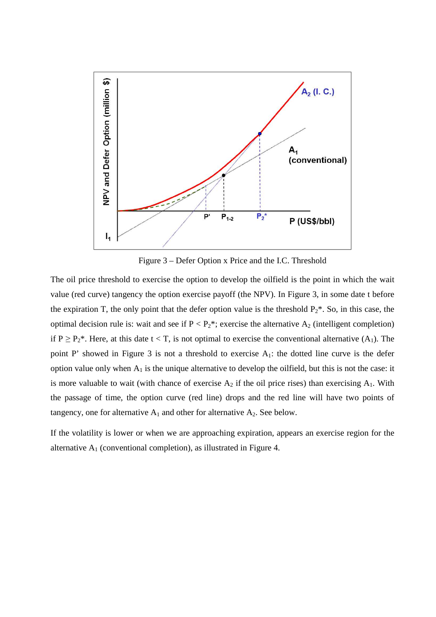

Figure 3 – Defer Option x Price and the I.C. Threshold

The oil price threshold to exercise the option to develop the oilfield is the point in which the wait value (red curve) tangency the option exercise payoff (the NPV). In Figure 3, in some date t before the expiration T, the only point that the defer option value is the threshold  $P_2^*$ . So, in this case, the optimal decision rule is: wait and see if  $P < P_2^*$ ; exercise the alternative  $A_2$  (intelligent completion) if  $P \ge P_2^*$ . Here, at this date  $t < T$ , is not optimal to exercise the conventional alternative  $(A_1)$ . The point P' showed in Figure 3 is not a threshold to exercise A<sub>1</sub>: the dotted line curve is the defer option value only when  $A_1$  is the unique alternative to develop the oilfield, but this is not the case: it is more valuable to wait (with chance of exercise  $A_2$  if the oil price rises) than exercising  $A_1$ . With the passage of time, the option curve (red line) drops and the red line will have two points of tangency, one for alternative  $A_1$  and other for alternative  $A_2$ . See below.

If the volatility is lower or when we are approaching expiration, appears an exercise region for the alternative  $A_1$  (conventional completion), as illustrated in Figure 4.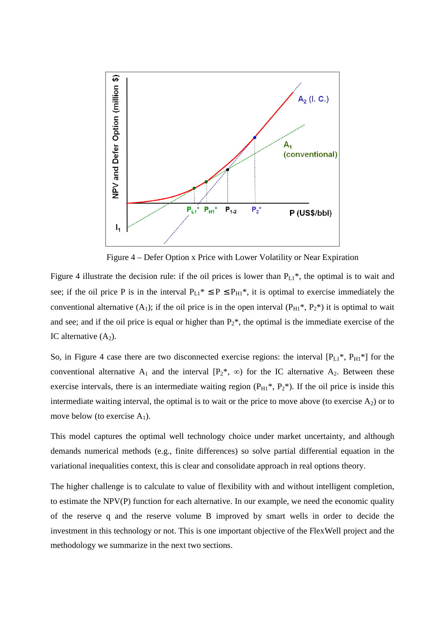

Figure 4 – Defer Option x Price with Lower Volatility or Near Expiration

Figure 4 illustrate the decision rule: if the oil prices is lower than  $P_{L1}^*$ , the optimal is to wait and see; if the oil price P is in the interval  $P_{L1}^* \le P \le P_{H1}^*$ , it is optimal to exercise immediately the conventional alternative (A<sub>1</sub>); if the oil price is in the open interval ( $P_{H1}^*$ ,  $P_2^*$ ) it is optimal to wait and see; and if the oil price is equal or higher than  $P_2^*$ , the optimal is the immediate exercise of the IC alternative  $(A_2)$ .

So, in Figure 4 case there are two disconnected exercise regions: the interval  $[P_{L1}^*, P_{H1}^*]$  for the conventional alternative A<sub>1</sub> and the interval  $[P_2^*, \infty)$  for the IC alternative A<sub>2</sub>. Between these exercise intervals, there is an intermediate waiting region  $(P_{H1}^*, P_2^*)$ . If the oil price is inside this intermediate waiting interval, the optimal is to wait or the price to move above (to exercise  $A_2$ ) or to move below (to exercise  $A_1$ ).

This model captures the optimal well technology choice under market uncertainty, and although demands numerical methods (e.g., finite differences) so solve partial differential equation in the variational inequalities context, this is clear and consolidate approach in real options theory.

The higher challenge is to calculate to value of flexibility with and without intelligent completion, to estimate the NPV(P) function for each alternative. In our example, we need the economic quality of the reserve q and the reserve volume B improved by smart wells in order to decide the investment in this technology or not. This is one important objective of the FlexWell project and the methodology we summarize in the next two sections.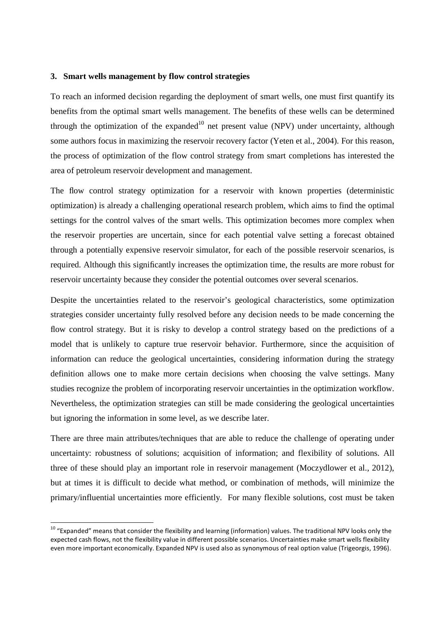### **3. Smart wells management by flow control strategies**

To reach an informed decision regarding the deployment of smart wells, one must first quantify its benefits from the optimal smart wells management. The benefits of these wells can be determined through the optimization of the expanded<sup>10</sup> net present value (NPV) under uncertainty, although some authors focus in maximizing the reservoir recovery factor (Yeten et al., 2004). For this reason, the process of optimization of the flow control strategy from smart completions has interested the area of petroleum reservoir development and management.

The flow control strategy optimization for a reservoir with known properties (deterministic optimization) is already a challenging operational research problem, which aims to find the optimal settings for the control valves of the smart wells. This optimization becomes more complex when the reservoir properties are uncertain, since for each potential valve setting a forecast obtained through a potentially expensive reservoir simulator, for each of the possible reservoir scenarios, is required. Although this significantly increases the optimization time, the results are more robust for reservoir uncertainty because they consider the potential outcomes over several scenarios.

Despite the uncertainties related to the reservoir's geological characteristics, some optimization strategies consider uncertainty fully resolved before any decision needs to be made concerning the flow control strategy. But it is risky to develop a control strategy based on the predictions of a model that is unlikely to capture true reservoir behavior. Furthermore, since the acquisition of information can reduce the geological uncertainties, considering information during the strategy definition allows one to make more certain decisions when choosing the valve settings. Many studies recognize the problem of incorporating reservoir uncertainties in the optimization workflow. Nevertheless, the optimization strategies can still be made considering the geological uncertainties but ignoring the information in some level, as we describe later.

There are three main attributes/techniques that are able to reduce the challenge of operating under uncertainty: robustness of solutions; acquisition of information; and flexibility of solutions. All three of these should play an important role in reservoir management (Moczydlower et al., 2012), but at times it is difficult to decide what method, or combination of methods, will minimize the primary/influential uncertainties more efficiently. For many flexible solutions, cost must be taken

 $10$  "Expanded" means that consider the flexibility and learning (information) values. The traditional NPV looks only the expected cash flows, not the flexibility value in different possible scenarios. Uncertainties make smart wells flexibility even more important economically. Expanded NPV is used also as synonymous of real option value (Trigeorgis, 1996).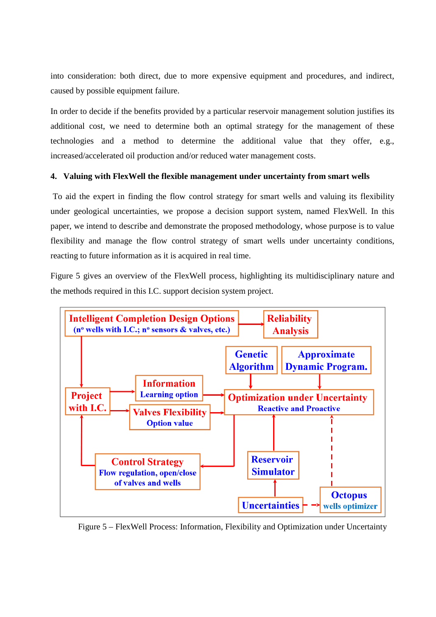into consideration: both direct, due to more expensive equipment and procedures, and indirect, caused by possible equipment failure.

In order to decide if the benefits provided by a particular reservoir management solution justifies its additional cost, we need to determine both an optimal strategy for the management of these technologies and a method to determine the additional value that they offer, e.g., increased/accelerated oil production and/or reduced water management costs.

### **4. Valuing with FlexWell the flexible management under uncertainty from smart wells**

 To aid the expert in finding the flow control strategy for smart wells and valuing its flexibility under geological uncertainties, we propose a decision support system, named FlexWell. In this paper, we intend to describe and demonstrate the proposed methodology, whose purpose is to value flexibility and manage the flow control strategy of smart wells under uncertainty conditions, reacting to future information as it is acquired in real time.

Figure 5 gives an overview of the FlexWell process, highlighting its multidisciplinary nature and the methods required in this I.C. support decision system project.



Figure 5 – FlexWell Process: Information, Flexibility and Optimization under Uncertainty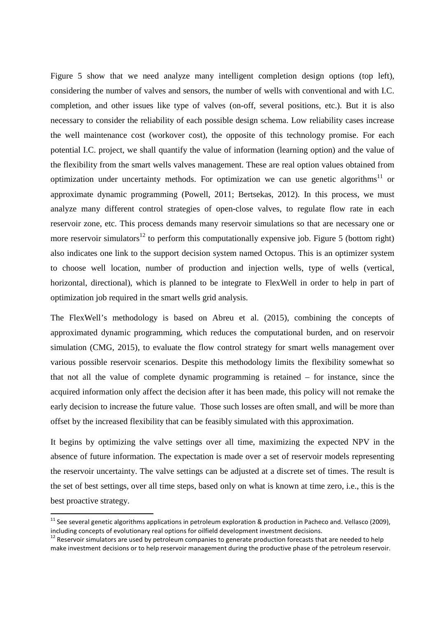Figure 5 show that we need analyze many intelligent completion design options (top left), considering the number of valves and sensors, the number of wells with conventional and with I.C. completion, and other issues like type of valves (on-off, several positions, etc.). But it is also necessary to consider the reliability of each possible design schema. Low reliability cases increase the well maintenance cost (workover cost), the opposite of this technology promise. For each potential I.C. project, we shall quantify the value of information (learning option) and the value of the flexibility from the smart wells valves management. These are real option values obtained from optimization under uncertainty methods. For optimization we can use genetic algorithms<sup>11</sup> or approximate dynamic programming (Powell, 2011; Bertsekas, 2012). In this process, we must analyze many different control strategies of open-close valves, to regulate flow rate in each reservoir zone, etc. This process demands many reservoir simulations so that are necessary one or more reservoir simulators<sup>12</sup> to perform this computationally expensive job. Figure 5 (bottom right) also indicates one link to the support decision system named Octopus. This is an optimizer system to choose well location, number of production and injection wells, type of wells (vertical, horizontal, directional), which is planned to be integrate to FlexWell in order to help in part of optimization job required in the smart wells grid analysis.

The FlexWell's methodology is based on Abreu et al. (2015), combining the concepts of approximated dynamic programming, which reduces the computational burden, and on reservoir simulation (CMG, 2015), to evaluate the flow control strategy for smart wells management over various possible reservoir scenarios. Despite this methodology limits the flexibility somewhat so that not all the value of complete dynamic programming is retained – for instance, since the acquired information only affect the decision after it has been made, this policy will not remake the early decision to increase the future value. Those such losses are often small, and will be more than offset by the increased flexibility that can be feasibly simulated with this approximation.

It begins by optimizing the valve settings over all time, maximizing the expected NPV in the absence of future information. The expectation is made over a set of reservoir models representing the reservoir uncertainty. The valve settings can be adjusted at a discrete set of times. The result is the set of best settings, over all time steps, based only on what is known at time zero, i.e., this is the best proactive strategy.

 $11$  See several genetic algorithms applications in petroleum exploration & production in Pacheco and. Vellasco (2009), including concepts of evolutionary real options for oilfield development investment decisions.

 $12$  Reservoir simulators are used by petroleum companies to generate production forecasts that are needed to help make investment decisions or to help reservoir management during the productive phase of the petroleum reservoir.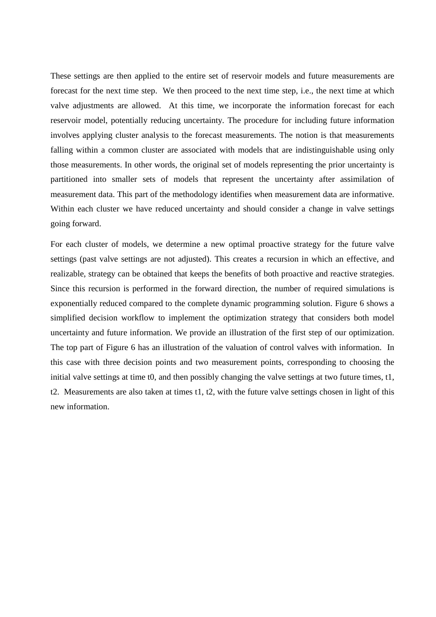These settings are then applied to the entire set of reservoir models and future measurements are forecast for the next time step. We then proceed to the next time step, i.e., the next time at which valve adjustments are allowed. At this time, we incorporate the information forecast for each reservoir model, potentially reducing uncertainty. The procedure for including future information involves applying cluster analysis to the forecast measurements. The notion is that measurements falling within a common cluster are associated with models that are indistinguishable using only those measurements. In other words, the original set of models representing the prior uncertainty is partitioned into smaller sets of models that represent the uncertainty after assimilation of measurement data. This part of the methodology identifies when measurement data are informative. Within each cluster we have reduced uncertainty and should consider a change in valve settings going forward.

For each cluster of models, we determine a new optimal proactive strategy for the future valve settings (past valve settings are not adjusted). This creates a recursion in which an effective, and realizable, strategy can be obtained that keeps the benefits of both proactive and reactive strategies. Since this recursion is performed in the forward direction, the number of required simulations is exponentially reduced compared to the complete dynamic programming solution. Figure 6 shows a simplified decision workflow to implement the optimization strategy that considers both model uncertainty and future information. We provide an illustration of the first step of our optimization. The top part of Figure 6 has an illustration of the valuation of control valves with information. In this case with three decision points and two measurement points, corresponding to choosing the initial valve settings at time t0, and then possibly changing the valve settings at two future times, t1, t2. Measurements are also taken at times t1, t2, with the future valve settings chosen in light of this new information.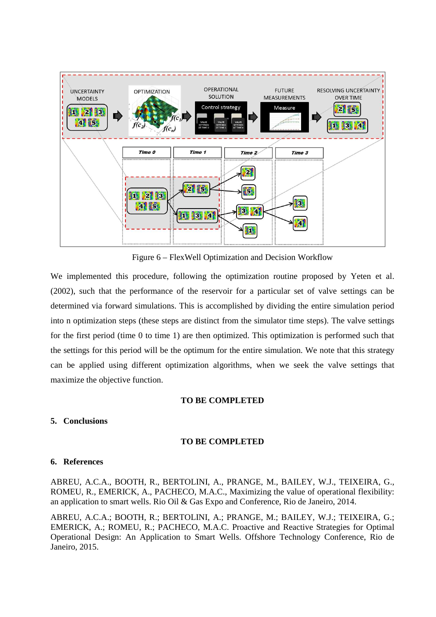

Figure 6 – FlexWell Optimization and Decision Workflow

We implemented this procedure, following the optimization routine proposed by Yeten et al. (2002), such that the performance of the reservoir for a particular set of valve settings can be determined via forward simulations. This is accomplished by dividing the entire simulation period into n optimization steps (these steps are distinct from the simulator time steps). The valve settings for the first period (time 0 to time 1) are then optimized. This optimization is performed such that the settings for this period will be the optimum for the entire simulation. We note that this strategy can be applied using different optimization algorithms, when we seek the valve settings that maximize the objective function.

### **TO BE COMPLETED**

### **5. Conclusions**

### **TO BE COMPLETED**

# **6. References**

ABREU, A.C.A., BOOTH, R., BERTOLINI, A., PRANGE, M., BAILEY, W.J., TEIXEIRA, G., ROMEU, R., EMERICK, A., PACHECO, M.A.C., Maximizing the value of operational flexibility: an application to smart wells. Rio Oil & Gas Expo and Conference, Rio de Janeiro, 2014.

ABREU, A.C.A.; BOOTH, R.; BERTOLINI, A.; PRANGE, M.; BAILEY, W.J.; TEIXEIRA, G.; EMERICK, A.; ROMEU, R.; PACHECO, M.A.C. Proactive and Reactive Strategies for Optimal Operational Design: An Application to Smart Wells. Offshore Technology Conference, Rio de Janeiro, 2015.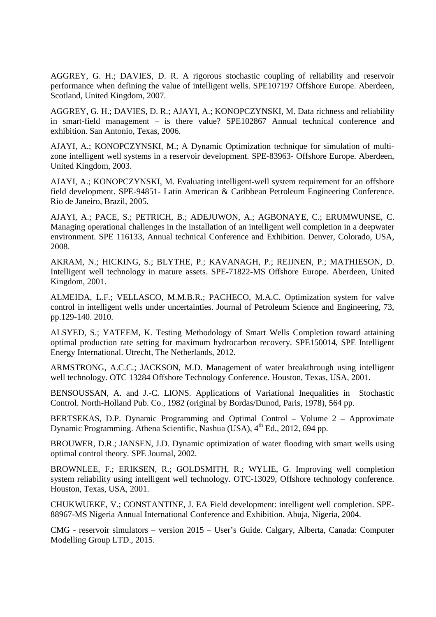AGGREY, G. H.; DAVIES, D. R. A rigorous stochastic coupling of reliability and reservoir performance when defining the value of intelligent wells. SPE107197 Offshore Europe. Aberdeen, Scotland, United Kingdom, 2007.

AGGREY, G. H.; DAVIES, D. R.; AJAYI, A.; KONOPCZYNSKI, M. Data richness and reliability in smart-field management – is there value? SPE102867 Annual technical conference and exhibition. San Antonio, Texas, 2006.

AJAYI, A.; KONOPCZYNSKI, M.; A Dynamic Optimization technique for simulation of multizone intelligent well systems in a reservoir development. SPE-83963- Offshore Europe. Aberdeen, United Kingdom, 2003.

AJAYI, A.; KONOPCZYNSKI, M. Evaluating intelligent-well system requirement for an offshore field development. SPE-94851- Latin American & Caribbean Petroleum Engineering Conference. Rio de Janeiro, Brazil, 2005.

AJAYI, A.; PACE, S.; PETRICH, B.; ADEJUWON, A.; AGBONAYE, C.; ERUMWUNSE, C. Managing operational challenges in the installation of an intelligent well completion in a deepwater environment. SPE 116133, Annual technical Conference and Exhibition. Denver, Colorado, USA, 2008.

AKRAM, N.; HICKING, S.; BLYTHE, P.; KAVANAGH, P.; REIJNEN, P.; MATHIESON, D. Intelligent well technology in mature assets. SPE-71822-MS Offshore Europe. Aberdeen, United Kingdom, 2001.

ALMEIDA, L.F.; VELLASCO, M.M.B.R.; PACHECO, M.A.C. Optimization system for valve control in intelligent wells under uncertainties. Journal of Petroleum Science and Engineering, 73, pp.129-140. 2010.

ALSYED, S.; YATEEM, K. Testing Methodology of Smart Wells Completion toward attaining optimal production rate setting for maximum hydrocarbon recovery. SPE150014, SPE Intelligent Energy International. Utrecht, The Netherlands, 2012.

ARMSTRONG, A.C.C.; JACKSON, M.D. Management of water breakthrough using intelligent well technology. OTC 13284 Offshore Technology Conference. Houston, Texas, USA, 2001.

BENSOUSSAN, A. and J.-C. LIONS. Applications of Variational Inequalities in Stochastic Control. North-Holland Pub. Co., 1982 (original by Bordas/Dunod, Paris, 1978), 564 pp.

BERTSEKAS, D.P. Dynamic Programming and Optimal Control – Volume 2 – Approximate Dynamic Programming. Athena Scientific, Nashua (USA), 4<sup>th</sup> Ed., 2012, 694 pp.

BROUWER, D.R.; JANSEN, J.D. Dynamic optimization of water flooding with smart wells using optimal control theory. SPE Journal, 2002.

BROWNLEE, F.; ERIKSEN, R.; GOLDSMITH, R.; WYLIE, G. Improving well completion system reliability using intelligent well technology. OTC-13029, Offshore technology conference. Houston, Texas, USA, 2001.

CHUKWUEKE, V.; CONSTANTINE, J. EA Field development: intelligent well completion. SPE-88967-MS Nigeria Annual International Conference and Exhibition. Abuja, Nigeria, 2004.

CMG - reservoir simulators – version 2015 – User's Guide. Calgary, Alberta, Canada: Computer Modelling Group LTD., 2015.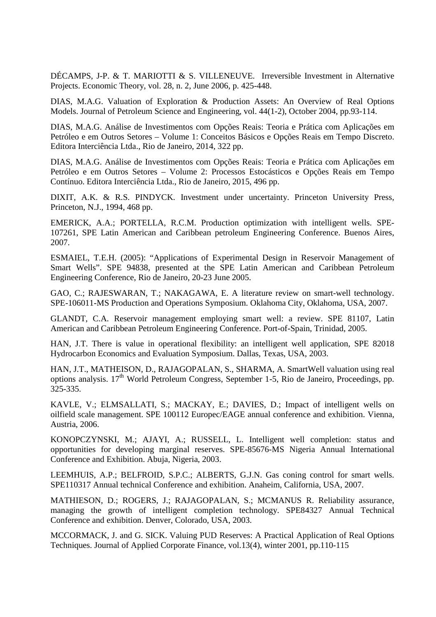DÉCAMPS, J-P. & T. MARIOTTI & S. VILLENEUVE. Irreversible Investment in Alternative Projects. Economic Theory, vol. 28, n. 2, June 2006, p. 425-448.

DIAS, M.A.G. Valuation of Exploration & Production Assets: An Overview of Real Options Models. Journal of Petroleum Science and Engineering, vol. 44(1-2), October 2004, pp.93-114.

DIAS, M.A.G. Análise de Investimentos com Opções Reais: Teoria e Prática com Aplicações em Petróleo e em Outros Setores – Volume 1: Conceitos Básicos e Opções Reais em Tempo Discreto. Editora Interciência Ltda., Rio de Janeiro, 2014, 322 pp.

DIAS, M.A.G. Análise de Investimentos com Opções Reais: Teoria e Prática com Aplicações em Petróleo e em Outros Setores – Volume 2: Processos Estocásticos e Opções Reais em Tempo Contínuo. Editora Interciência Ltda., Rio de Janeiro, 2015, 496 pp.

DIXIT, A.K. & R.S. PINDYCK. Investment under uncertainty. Princeton University Press, Princeton, N.J., 1994, 468 pp.

EMERICK, A.A.; PORTELLA, R.C.M. Production optimization with intelligent wells. SPE-107261, SPE Latin American and Caribbean petroleum Engineering Conference. Buenos Aires, 2007.

ESMAIEL, T.E.H. (2005): "Applications of Experimental Design in Reservoir Management of Smart Wells". SPE 94838, presented at the SPE Latin American and Caribbean Petroleum Engineering Conference, Rio de Janeiro, 20-23 June 2005.

GAO, C.; RAJESWARAN, T.; NAKAGAWA, E. A literature review on smart-well technology. SPE-106011-MS Production and Operations Symposium. Oklahoma City, Oklahoma, USA, 2007.

GLANDT, C.A. Reservoir management employing smart well: a review. SPE 81107, Latin American and Caribbean Petroleum Engineering Conference. Port-of-Spain, Trinidad, 2005.

HAN, J.T. There is value in operational flexibility: an intelligent well application, SPE 82018 Hydrocarbon Economics and Evaluation Symposium. Dallas, Texas, USA, 2003.

HAN, J.T., MATHEISON, D., RAJAGOPALAN, S., SHARMA, A. SmartWell valuation using real options analysis. 17<sup>th</sup> World Petroleum Congress, September 1-5, Rio de Janeiro, Proceedings, pp. 325-335.

KAVLE, V.; ELMSALLATI, S.; MACKAY, E.; DAVIES, D.; Impact of intelligent wells on oilfield scale management. SPE 100112 Europec/EAGE annual conference and exhibition. Vienna, Austria, 2006.

KONOPCZYNSKI, M.; AJAYI, A.; RUSSELL, L. Intelligent well completion: status and opportunities for developing marginal reserves. SPE-85676-MS Nigeria Annual International Conference and Exhibition. Abuja, Nigeria, 2003.

LEEMHUIS, A.P.; BELFROID, S.P.C.; ALBERTS, G.J.N. Gas coning control for smart wells. SPE110317 Annual technical Conference and exhibition. Anaheim, California, USA, 2007.

MATHIESON, D.; ROGERS, J.; RAJAGOPALAN, S.; MCMANUS R. Reliability assurance, managing the growth of intelligent completion technology. SPE84327 Annual Technical Conference and exhibition. Denver, Colorado, USA, 2003.

MCCORMACK, J. and G. SICK. Valuing PUD Reserves: A Practical Application of Real Options Techniques. Journal of Applied Corporate Finance, vol.13(4), winter 2001, pp.110-115